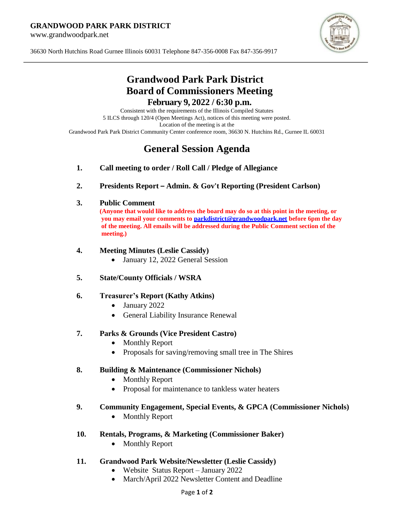#### **GRANDWOOD PARK PARK DISTRICT**

www.grandwoodpark.net



36630 North Hutchins Road Gurnee Illinois 60031 Telephone 847-356-0008 Fax 847-356-9917

## **Grandwood Park Park District Board of Commissioners Meeting February 9, 2022 / 6:30 p.m.**

Consistent with the requirements of the Illinois Compiled Statutes 5 ILCS through 120/4 (Open Meetings Act), notices of this meeting were posted. Location of the meeting is at the Grandwood Park Park District Community Center conference room, 36630 N. Hutchins Rd., Gurnee IL 60031

# **General Session Agenda**

- **1. Call meeting to order / Roll Call / Pledge of Allegiance**
- **2. Presidents Report – Admin. & Gov't Reporting (President Carlson)**

## **3. Public Comment**

**(Anyone that would like to address the board may do so at this point in the meeting, or you may email your comments to [parkdistrict@grandwoodpark.net](mailto:parkdistrict@grandwoodpark.net) before 6pm the day of the meeting. All emails will be addressed during the Public Comment section of the meeting.)**

## **4. Meeting Minutes (Leslie Cassidy)**

• January 12, 2022 General Session

## **5. State/County Officials / WSRA**

## **6. Treasurer's Report (Kathy Atkins)**

- January 2022
- General Liability Insurance Renewal

## **7. Parks & Grounds (Vice President Castro)**

- Monthly Report
- Proposals for saving/removing small tree in The Shires

## **8. Building & Maintenance (Commissioner Nichols)**

- Monthly Report
- Proposal for maintenance to tankless water heaters

## **9. Community Engagement, Special Events, & GPCA (Commissioner Nichols)**

• Monthly Report

## **10. Rentals, Programs, & Marketing (Commissioner Baker)**

• Monthly Report

## **11. Grandwood Park Website/Newsletter (Leslie Cassidy)**

- Website Status Report January 2022
- March/April 2022 Newsletter Content and Deadline